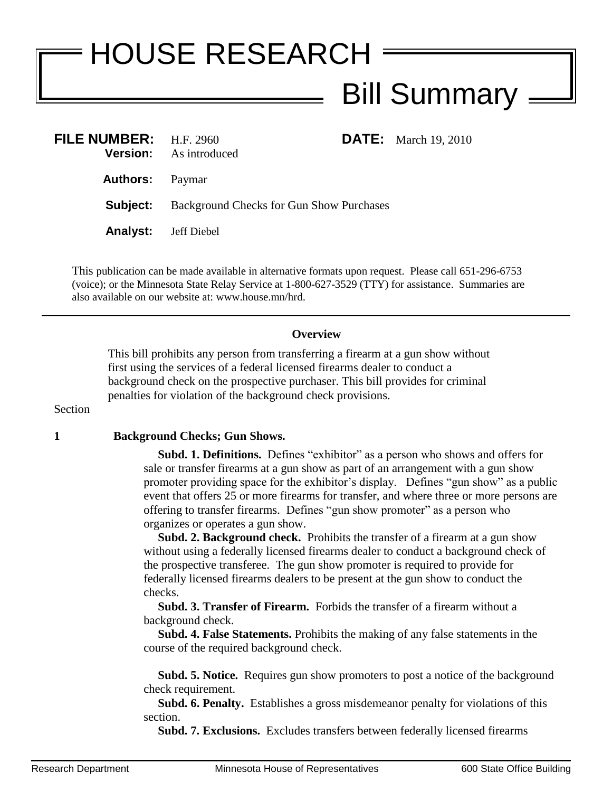## HOUSE RESEARCH Bill Summary =

|                                                                                                                    | <b>DATE:</b> March 19, 2010                              |
|--------------------------------------------------------------------------------------------------------------------|----------------------------------------------------------|
|                                                                                                                    |                                                          |
|                                                                                                                    |                                                          |
|                                                                                                                    |                                                          |
| FILE NUMBER: $H.F. 2960$<br><b>Version:</b> As introduced<br><b>Authors:</b> Paymar<br><b>Analyst:</b> Jeff Diebel | <b>Subject:</b> Background Checks for Gun Show Purchases |

This publication can be made available in alternative formats upon request. Please call 651-296-6753 (voice); or the Minnesota State Relay Service at 1-800-627-3529 (TTY) for assistance. Summaries are also available on our website at: www.house.mn/hrd.

## **Overview**

This bill prohibits any person from transferring a firearm at a gun show without first using the services of a federal licensed firearms dealer to conduct a background check on the prospective purchaser. This bill provides for criminal penalties for violation of the background check provisions.

Section

## **1 Background Checks; Gun Shows.**

 **Subd. 1. Definitions.** Defines "exhibitor" as a person who shows and offers for sale or transfer firearms at a gun show as part of an arrangement with a gun show promoter providing space for the exhibitor's display. Defines "gun show" as a public event that offers 25 or more firearms for transfer, and where three or more persons are offering to transfer firearms. Defines "gun show promoter" as a person who organizes or operates a gun show.

 **Subd. 2. Background check.** Prohibits the transfer of a firearm at a gun show without using a federally licensed firearms dealer to conduct a background check of the prospective transferee. The gun show promoter is required to provide for federally licensed firearms dealers to be present at the gun show to conduct the checks.

 **Subd. 3. Transfer of Firearm.** Forbids the transfer of a firearm without a background check.

 **Subd. 4. False Statements.** Prohibits the making of any false statements in the course of the required background check.

 **Subd. 5. Notice.** Requires gun show promoters to post a notice of the background check requirement.

 **Subd. 6. Penalty.** Establishes a gross misdemeanor penalty for violations of this section.

**Subd. 7. Exclusions.** Excludes transfers between federally licensed firearms